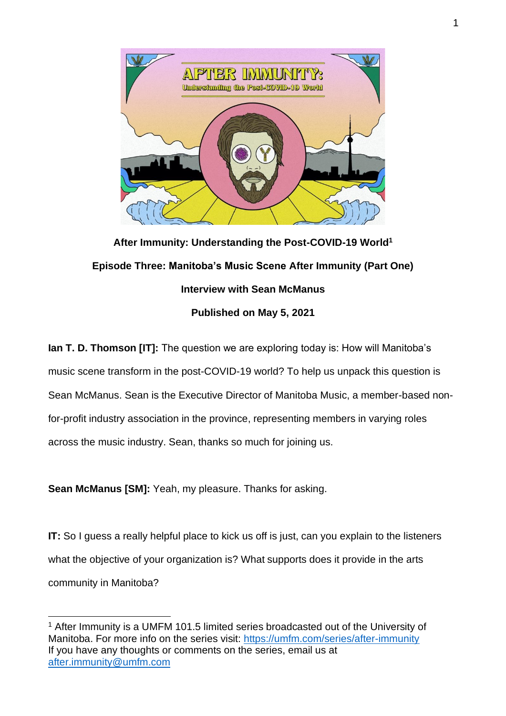

**After Immunity: Understanding the Post-COVID-19 World<sup>1</sup> Episode Three: Manitoba's Music Scene After Immunity (Part One) Interview with Sean McManus Published on May 5, 2021**

**Ian T. D. Thomson [IT]:** The question we are exploring today is: How will Manitoba's music scene transform in the post-COVID-19 world? To help us unpack this question is Sean McManus. Sean is the Executive Director of Manitoba Music, a member-based nonfor-profit industry association in the province, representing members in varying roles across the music industry. Sean, thanks so much for joining us.

**Sean McManus [SM]:** Yeah, my pleasure. Thanks for asking.

**IT:** So I guess a really helpful place to kick us off is just, can you explain to the listeners what the objective of your organization is? What supports does it provide in the arts community in Manitoba?

<sup>&</sup>lt;sup>1</sup> After Immunity is a UMFM 101.5 limited series broadcasted out of the University of Manitoba. For more info on the series visit:<https://umfm.com/series/after-immunity> If you have any thoughts or comments on the series, email us at [after.immunity@umfm.com](mailto:after.immunity@umfm.com)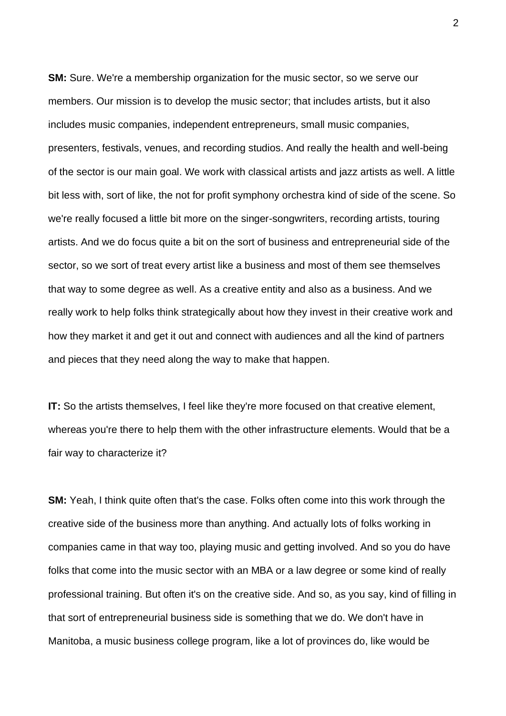**SM:** Sure. We're a membership organization for the music sector, so we serve our members. Our mission is to develop the music sector; that includes artists, but it also includes music companies, independent entrepreneurs, small music companies, presenters, festivals, venues, and recording studios. And really the health and well-being of the sector is our main goal. We work with classical artists and jazz artists as well. A little bit less with, sort of like, the not for profit symphony orchestra kind of side of the scene. So we're really focused a little bit more on the singer-songwriters, recording artists, touring artists. And we do focus quite a bit on the sort of business and entrepreneurial side of the sector, so we sort of treat every artist like a business and most of them see themselves that way to some degree as well. As a creative entity and also as a business. And we really work to help folks think strategically about how they invest in their creative work and how they market it and get it out and connect with audiences and all the kind of partners and pieces that they need along the way to make that happen.

**IT:** So the artists themselves, I feel like they're more focused on that creative element, whereas you're there to help them with the other infrastructure elements. Would that be a fair way to characterize it?

**SM:** Yeah, I think quite often that's the case. Folks often come into this work through the creative side of the business more than anything. And actually lots of folks working in companies came in that way too, playing music and getting involved. And so you do have folks that come into the music sector with an MBA or a law degree or some kind of really professional training. But often it's on the creative side. And so, as you say, kind of filling in that sort of entrepreneurial business side is something that we do. We don't have in Manitoba, a music business college program, like a lot of provinces do, like would be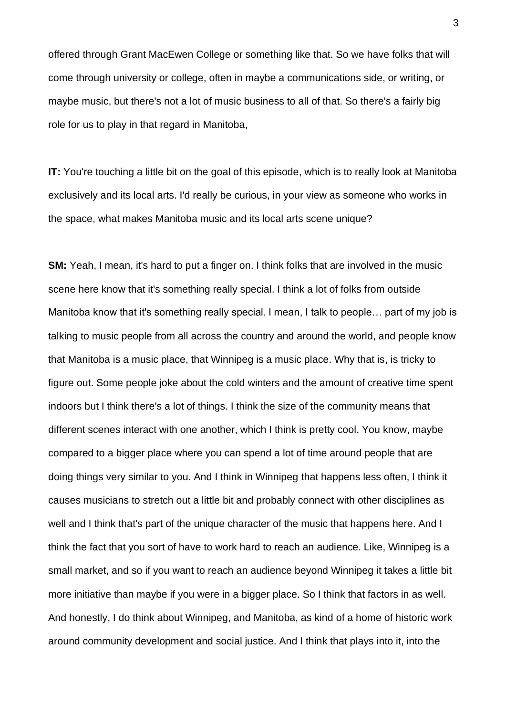offered through Grant MacEwen College or something like that. So we have folks that will come through university or college, often in maybe a communications side, or writing, or maybe music, but there's not a lot of music business to all of that. So there's a fairly big role for us to play in that regard in Manitoba,

**IT:** You're touching a little bit on the goal of this episode, which is to really look at Manitoba exclusively and its local arts. I'd really be curious, in your view as someone who works in the space, what makes Manitoba music and its local arts scene unique?

**SM:** Yeah, I mean, it's hard to put a finger on. I think folks that are involved in the music scene here know that it's something really special. I think a lot of folks from outside Manitoba know that it's something really special. I mean, I talk to people… part of my job is talking to music people from all across the country and around the world, and people know that Manitoba is a music place, that Winnipeg is a music place. Why that is, is tricky to figure out. Some people joke about the cold winters and the amount of creative time spent indoors but I think there's a lot of things. I think the size of the community means that different scenes interact with one another, which I think is pretty cool. You know, maybe compared to a bigger place where you can spend a lot of time around people that are doing things very similar to you. And I think in Winnipeg that happens less often, I think it causes musicians to stretch out a little bit and probably connect with other disciplines as well and I think that's part of the unique character of the music that happens here. And I think the fact that you sort of have to work hard to reach an audience. Like, Winnipeg is a small market, and so if you want to reach an audience beyond Winnipeg it takes a little bit more initiative than maybe if you were in a bigger place. So I think that factors in as well. And honestly, I do think about Winnipeg, and Manitoba, as kind of a home of historic work around community development and social justice. And I think that plays into it, into the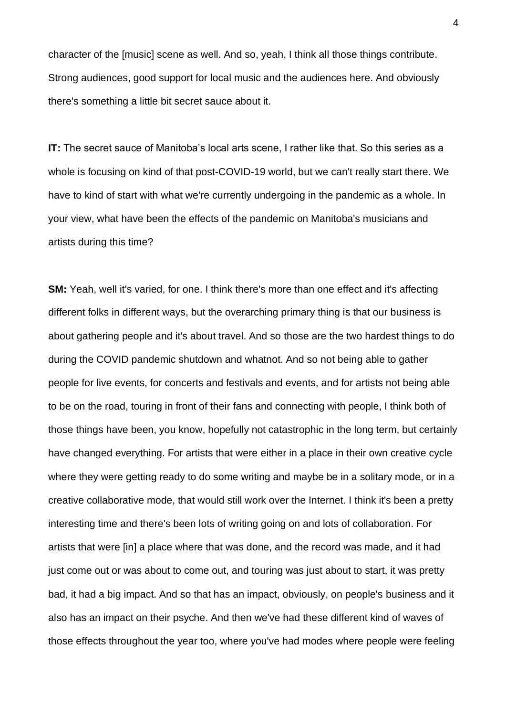character of the [music] scene as well. And so, yeah, I think all those things contribute. Strong audiences, good support for local music and the audiences here. And obviously there's something a little bit secret sauce about it.

**IT:** The secret sauce of Manitoba's local arts scene, I rather like that. So this series as a whole is focusing on kind of that post-COVID-19 world, but we can't really start there. We have to kind of start with what we're currently undergoing in the pandemic as a whole. In your view, what have been the effects of the pandemic on Manitoba's musicians and artists during this time?

**SM:** Yeah, well it's varied, for one. I think there's more than one effect and it's affecting different folks in different ways, but the overarching primary thing is that our business is about gathering people and it's about travel. And so those are the two hardest things to do during the COVID pandemic shutdown and whatnot. And so not being able to gather people for live events, for concerts and festivals and events, and for artists not being able to be on the road, touring in front of their fans and connecting with people, I think both of those things have been, you know, hopefully not catastrophic in the long term, but certainly have changed everything. For artists that were either in a place in their own creative cycle where they were getting ready to do some writing and maybe be in a solitary mode, or in a creative collaborative mode, that would still work over the Internet. I think it's been a pretty interesting time and there's been lots of writing going on and lots of collaboration. For artists that were [in] a place where that was done, and the record was made, and it had just come out or was about to come out, and touring was just about to start, it was pretty bad, it had a big impact. And so that has an impact, obviously, on people's business and it also has an impact on their psyche. And then we've had these different kind of waves of those effects throughout the year too, where you've had modes where people were feeling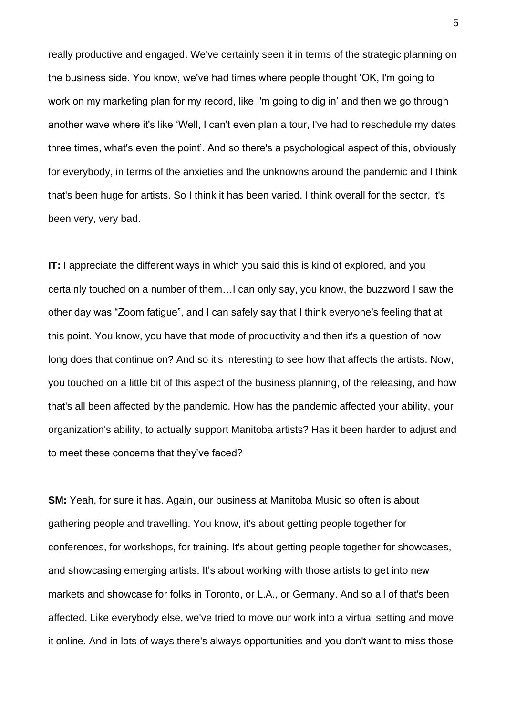really productive and engaged. We've certainly seen it in terms of the strategic planning on the business side. You know, we've had times where people thought 'OK, I'm going to work on my marketing plan for my record, like I'm going to dig in' and then we go through another wave where it's like 'Well, I can't even plan a tour, I've had to reschedule my dates three times, what's even the point'. And so there's a psychological aspect of this, obviously for everybody, in terms of the anxieties and the unknowns around the pandemic and I think that's been huge for artists. So I think it has been varied. I think overall for the sector, it's been very, very bad.

**IT:** I appreciate the different ways in which you said this is kind of explored, and you certainly touched on a number of them…I can only say, you know, the buzzword I saw the other day was "Zoom fatigue", and I can safely say that I think everyone's feeling that at this point. You know, you have that mode of productivity and then it's a question of how long does that continue on? And so it's interesting to see how that affects the artists. Now, you touched on a little bit of this aspect of the business planning, of the releasing, and how that's all been affected by the pandemic. How has the pandemic affected your ability, your organization's ability, to actually support Manitoba artists? Has it been harder to adjust and to meet these concerns that they've faced?

**SM:** Yeah, for sure it has. Again, our business at Manitoba Music so often is about gathering people and travelling. You know, it's about getting people together for conferences, for workshops, for training. It's about getting people together for showcases, and showcasing emerging artists. It's about working with those artists to get into new markets and showcase for folks in Toronto, or L.A., or Germany. And so all of that's been affected. Like everybody else, we've tried to move our work into a virtual setting and move it online. And in lots of ways there's always opportunities and you don't want to miss those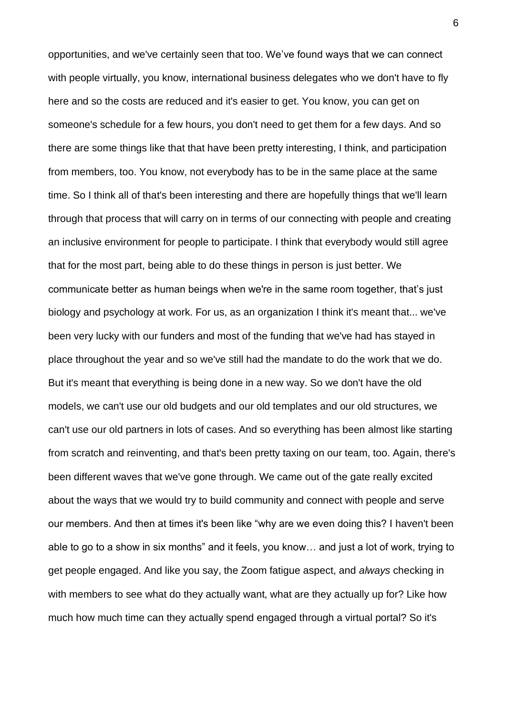opportunities, and we've certainly seen that too. We've found ways that we can connect with people virtually, you know, international business delegates who we don't have to fly here and so the costs are reduced and it's easier to get. You know, you can get on someone's schedule for a few hours, you don't need to get them for a few days. And so there are some things like that that have been pretty interesting, I think, and participation from members, too. You know, not everybody has to be in the same place at the same time. So I think all of that's been interesting and there are hopefully things that we'll learn through that process that will carry on in terms of our connecting with people and creating an inclusive environment for people to participate. I think that everybody would still agree that for the most part, being able to do these things in person is just better. We communicate better as human beings when we're in the same room together, that's just biology and psychology at work. For us, as an organization I think it's meant that... we've been very lucky with our funders and most of the funding that we've had has stayed in place throughout the year and so we've still had the mandate to do the work that we do. But it's meant that everything is being done in a new way. So we don't have the old models, we can't use our old budgets and our old templates and our old structures, we can't use our old partners in lots of cases. And so everything has been almost like starting from scratch and reinventing, and that's been pretty taxing on our team, too. Again, there's been different waves that we've gone through. We came out of the gate really excited about the ways that we would try to build community and connect with people and serve our members. And then at times it's been like "why are we even doing this? I haven't been able to go to a show in six months" and it feels, you know… and just a lot of work, trying to get people engaged. And like you say, the Zoom fatigue aspect, and *always* checking in with members to see what do they actually want, what are they actually up for? Like how much how much time can they actually spend engaged through a virtual portal? So it's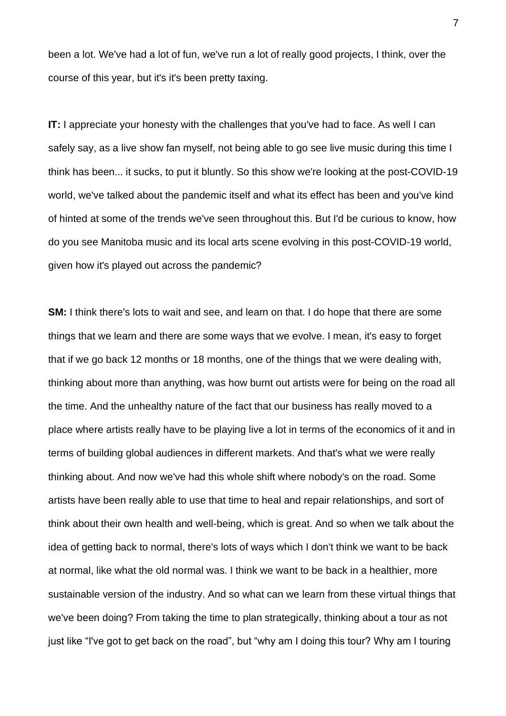been a lot. We've had a lot of fun, we've run a lot of really good projects, I think, over the course of this year, but it's it's been pretty taxing.

**IT:** I appreciate your honesty with the challenges that you've had to face. As well I can safely say, as a live show fan myself, not being able to go see live music during this time I think has been... it sucks, to put it bluntly. So this show we're looking at the post-COVID-19 world, we've talked about the pandemic itself and what its effect has been and you've kind of hinted at some of the trends we've seen throughout this. But I'd be curious to know, how do you see Manitoba music and its local arts scene evolving in this post-COVID-19 world, given how it's played out across the pandemic?

**SM:** I think there's lots to wait and see, and learn on that. I do hope that there are some things that we learn and there are some ways that we evolve. I mean, it's easy to forget that if we go back 12 months or 18 months, one of the things that we were dealing with, thinking about more than anything, was how burnt out artists were for being on the road all the time. And the unhealthy nature of the fact that our business has really moved to a place where artists really have to be playing live a lot in terms of the economics of it and in terms of building global audiences in different markets. And that's what we were really thinking about. And now we've had this whole shift where nobody's on the road. Some artists have been really able to use that time to heal and repair relationships, and sort of think about their own health and well-being, which is great. And so when we talk about the idea of getting back to normal, there's lots of ways which I don't think we want to be back at normal, like what the old normal was. I think we want to be back in a healthier, more sustainable version of the industry. And so what can we learn from these virtual things that we've been doing? From taking the time to plan strategically, thinking about a tour as not just like "I've got to get back on the road", but "why am I doing this tour? Why am I touring

7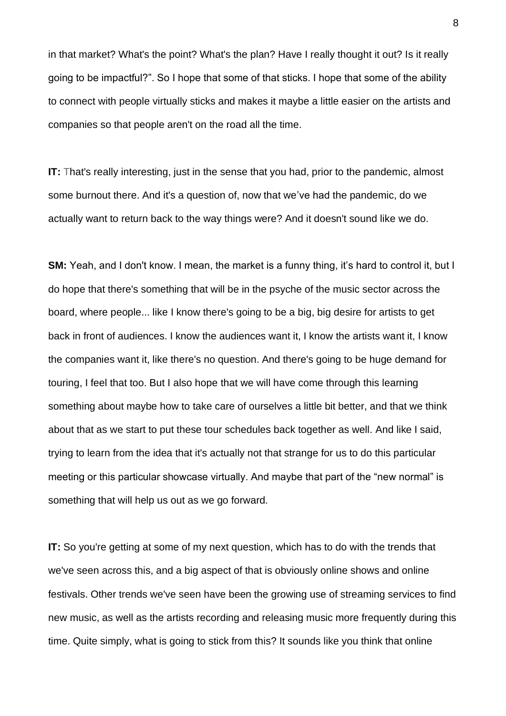in that market? What's the point? What's the plan? Have I really thought it out? Is it really going to be impactful?". So I hope that some of that sticks. I hope that some of the ability to connect with people virtually sticks and makes it maybe a little easier on the artists and companies so that people aren't on the road all the time.

**IT:** That's really interesting, just in the sense that you had, prior to the pandemic, almost some burnout there. And it's a question of, now that we've had the pandemic, do we actually want to return back to the way things were? And it doesn't sound like we do.

**SM:** Yeah, and I don't know. I mean, the market is a funny thing, it's hard to control it, but I do hope that there's something that will be in the psyche of the music sector across the board, where people... like I know there's going to be a big, big desire for artists to get back in front of audiences. I know the audiences want it, I know the artists want it, I know the companies want it, like there's no question. And there's going to be huge demand for touring, I feel that too. But I also hope that we will have come through this learning something about maybe how to take care of ourselves a little bit better, and that we think about that as we start to put these tour schedules back together as well. And like I said, trying to learn from the idea that it's actually not that strange for us to do this particular meeting or this particular showcase virtually. And maybe that part of the "new normal" is something that will help us out as we go forward.

**IT:** So you're getting at some of my next question, which has to do with the trends that we've seen across this, and a big aspect of that is obviously online shows and online festivals. Other trends we've seen have been the growing use of streaming services to find new music, as well as the artists recording and releasing music more frequently during this time. Quite simply, what is going to stick from this? It sounds like you think that online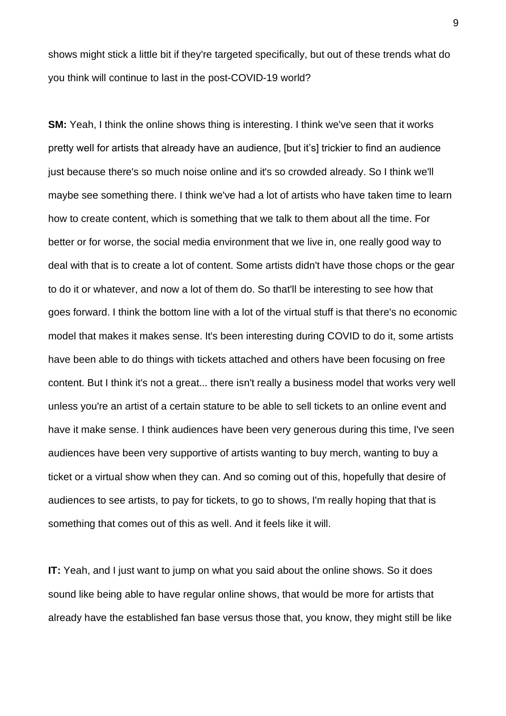shows might stick a little bit if they're targeted specifically, but out of these trends what do you think will continue to last in the post-COVID-19 world?

**SM:** Yeah, I think the online shows thing is interesting. I think we've seen that it works pretty well for artists that already have an audience, [but it's] trickier to find an audience just because there's so much noise online and it's so crowded already. So I think we'll maybe see something there. I think we've had a lot of artists who have taken time to learn how to create content, which is something that we talk to them about all the time. For better or for worse, the social media environment that we live in, one really good way to deal with that is to create a lot of content. Some artists didn't have those chops or the gear to do it or whatever, and now a lot of them do. So that'll be interesting to see how that goes forward. I think the bottom line with a lot of the virtual stuff is that there's no economic model that makes it makes sense. It's been interesting during COVID to do it, some artists have been able to do things with tickets attached and others have been focusing on free content. But I think it's not a great... there isn't really a business model that works very well unless you're an artist of a certain stature to be able to sell tickets to an online event and have it make sense. I think audiences have been very generous during this time, I've seen audiences have been very supportive of artists wanting to buy merch, wanting to buy a ticket or a virtual show when they can. And so coming out of this, hopefully that desire of audiences to see artists, to pay for tickets, to go to shows, I'm really hoping that that is something that comes out of this as well. And it feels like it will.

**IT:** Yeah, and I just want to jump on what you said about the online shows. So it does sound like being able to have regular online shows, that would be more for artists that already have the established fan base versus those that, you know, they might still be like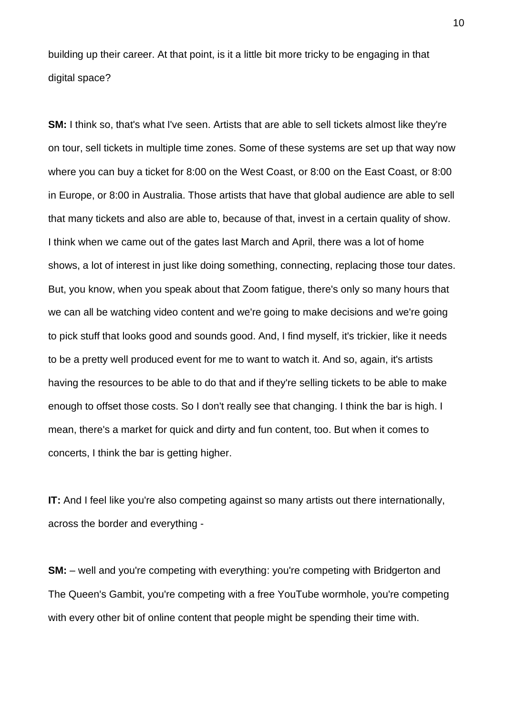building up their career. At that point, is it a little bit more tricky to be engaging in that digital space?

**SM:** I think so, that's what I've seen. Artists that are able to sell tickets almost like they're on tour, sell tickets in multiple time zones. Some of these systems are set up that way now where you can buy a ticket for 8:00 on the West Coast, or 8:00 on the East Coast, or 8:00 in Europe, or 8:00 in Australia. Those artists that have that global audience are able to sell that many tickets and also are able to, because of that, invest in a certain quality of show. I think when we came out of the gates last March and April, there was a lot of home shows, a lot of interest in just like doing something, connecting, replacing those tour dates. But, you know, when you speak about that Zoom fatigue, there's only so many hours that we can all be watching video content and we're going to make decisions and we're going to pick stuff that looks good and sounds good. And, I find myself, it's trickier, like it needs to be a pretty well produced event for me to want to watch it. And so, again, it's artists having the resources to be able to do that and if they're selling tickets to be able to make enough to offset those costs. So I don't really see that changing. I think the bar is high. I mean, there's a market for quick and dirty and fun content, too. But when it comes to concerts, I think the bar is getting higher.

**IT:** And I feel like you're also competing against so many artists out there internationally, across the border and everything -

**SM:** – well and you're competing with everything: you're competing with Bridgerton and The Queen's Gambit, you're competing with a free YouTube wormhole, you're competing with every other bit of online content that people might be spending their time with.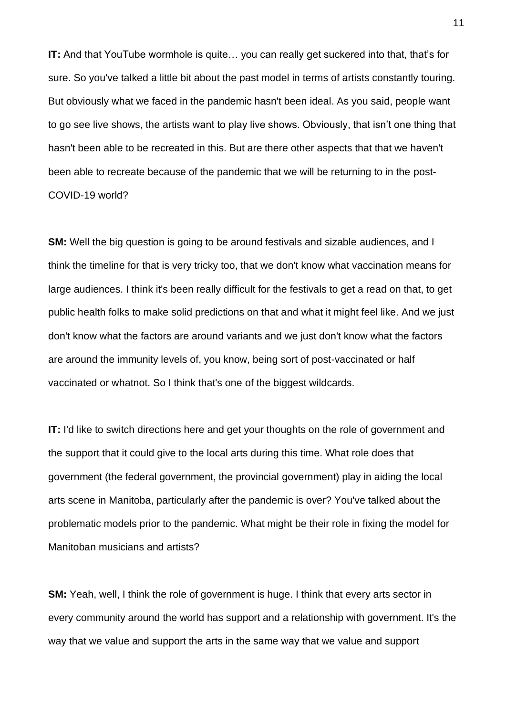**IT:** And that YouTube wormhole is quite… you can really get suckered into that, that's for sure. So you've talked a little bit about the past model in terms of artists constantly touring. But obviously what we faced in the pandemic hasn't been ideal. As you said, people want to go see live shows, the artists want to play live shows. Obviously, that isn't one thing that hasn't been able to be recreated in this. But are there other aspects that that we haven't been able to recreate because of the pandemic that we will be returning to in the post-COVID-19 world?

**SM:** Well the big question is going to be around festivals and sizable audiences, and I think the timeline for that is very tricky too, that we don't know what vaccination means for large audiences. I think it's been really difficult for the festivals to get a read on that, to get public health folks to make solid predictions on that and what it might feel like. And we just don't know what the factors are around variants and we just don't know what the factors are around the immunity levels of, you know, being sort of post-vaccinated or half vaccinated or whatnot. So I think that's one of the biggest wildcards.

**IT:** I'd like to switch directions here and get your thoughts on the role of government and the support that it could give to the local arts during this time. What role does that government (the federal government, the provincial government) play in aiding the local arts scene in Manitoba, particularly after the pandemic is over? You've talked about the problematic models prior to the pandemic. What might be their role in fixing the model for Manitoban musicians and artists?

**SM:** Yeah, well, I think the role of government is huge. I think that every arts sector in every community around the world has support and a relationship with government. It's the way that we value and support the arts in the same way that we value and support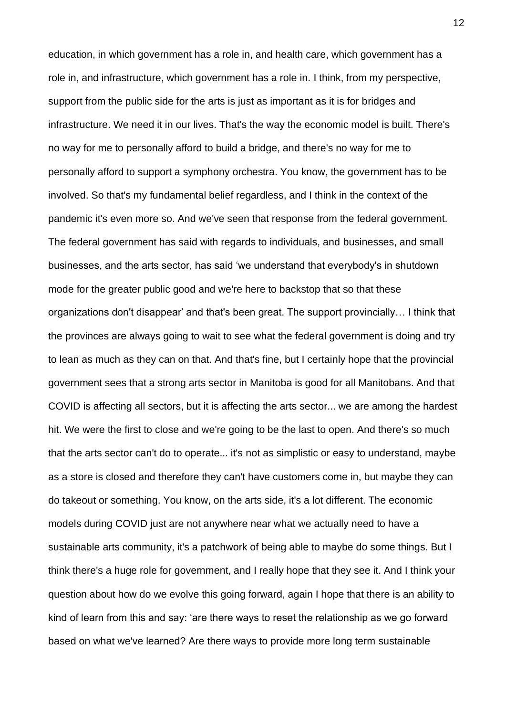education, in which government has a role in, and health care, which government has a role in, and infrastructure, which government has a role in. I think, from my perspective, support from the public side for the arts is just as important as it is for bridges and infrastructure. We need it in our lives. That's the way the economic model is built. There's no way for me to personally afford to build a bridge, and there's no way for me to personally afford to support a symphony orchestra. You know, the government has to be involved. So that's my fundamental belief regardless, and I think in the context of the pandemic it's even more so. And we've seen that response from the federal government. The federal government has said with regards to individuals, and businesses, and small businesses, and the arts sector, has said 'we understand that everybody's in shutdown mode for the greater public good and we're here to backstop that so that these organizations don't disappear' and that's been great. The support provincially… I think that the provinces are always going to wait to see what the federal government is doing and try to lean as much as they can on that. And that's fine, but I certainly hope that the provincial government sees that a strong arts sector in Manitoba is good for all Manitobans. And that COVID is affecting all sectors, but it is affecting the arts sector... we are among the hardest hit. We were the first to close and we're going to be the last to open. And there's so much that the arts sector can't do to operate... it's not as simplistic or easy to understand, maybe as a store is closed and therefore they can't have customers come in, but maybe they can do takeout or something. You know, on the arts side, it's a lot different. The economic models during COVID just are not anywhere near what we actually need to have a sustainable arts community, it's a patchwork of being able to maybe do some things. But I think there's a huge role for government, and I really hope that they see it. And I think your question about how do we evolve this going forward, again I hope that there is an ability to kind of learn from this and say: 'are there ways to reset the relationship as we go forward based on what we've learned? Are there ways to provide more long term sustainable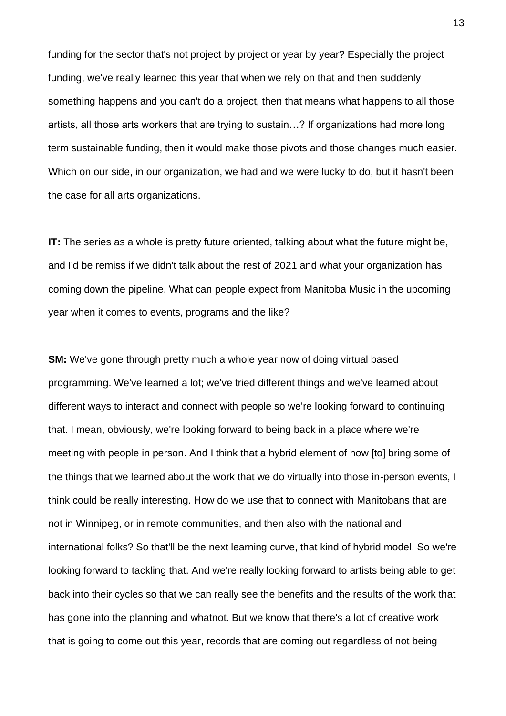funding for the sector that's not project by project or year by year? Especially the project funding, we've really learned this year that when we rely on that and then suddenly something happens and you can't do a project, then that means what happens to all those artists, all those arts workers that are trying to sustain…? If organizations had more long term sustainable funding, then it would make those pivots and those changes much easier. Which on our side, in our organization, we had and we were lucky to do, but it hasn't been the case for all arts organizations.

**IT:** The series as a whole is pretty future oriented, talking about what the future might be, and I'd be remiss if we didn't talk about the rest of 2021 and what your organization has coming down the pipeline. What can people expect from Manitoba Music in the upcoming year when it comes to events, programs and the like?

**SM:** We've gone through pretty much a whole year now of doing virtual based programming. We've learned a lot; we've tried different things and we've learned about different ways to interact and connect with people so we're looking forward to continuing that. I mean, obviously, we're looking forward to being back in a place where we're meeting with people in person. And I think that a hybrid element of how [to] bring some of the things that we learned about the work that we do virtually into those in-person events, I think could be really interesting. How do we use that to connect with Manitobans that are not in Winnipeg, or in remote communities, and then also with the national and international folks? So that'll be the next learning curve, that kind of hybrid model. So we're looking forward to tackling that. And we're really looking forward to artists being able to get back into their cycles so that we can really see the benefits and the results of the work that has gone into the planning and whatnot. But we know that there's a lot of creative work that is going to come out this year, records that are coming out regardless of not being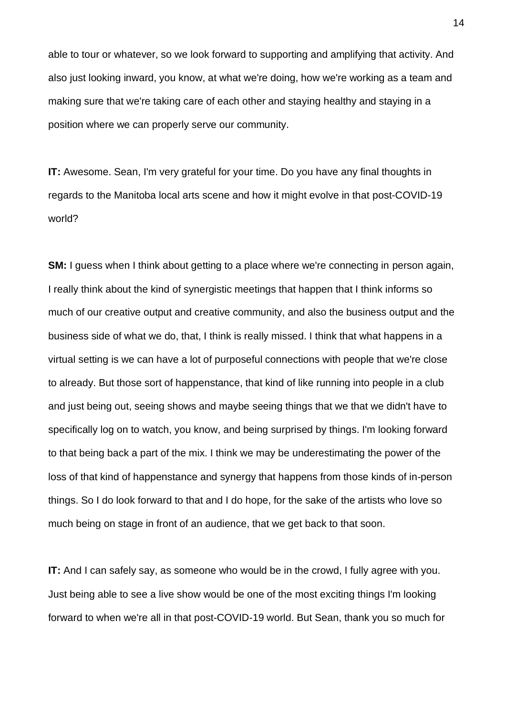able to tour or whatever, so we look forward to supporting and amplifying that activity. And also just looking inward, you know, at what we're doing, how we're working as a team and making sure that we're taking care of each other and staying healthy and staying in a position where we can properly serve our community.

**IT:** Awesome. Sean, I'm very grateful for your time. Do you have any final thoughts in regards to the Manitoba local arts scene and how it might evolve in that post-COVID-19 world?

**SM:** I guess when I think about getting to a place where we're connecting in person again, I really think about the kind of synergistic meetings that happen that I think informs so much of our creative output and creative community, and also the business output and the business side of what we do, that, I think is really missed. I think that what happens in a virtual setting is we can have a lot of purposeful connections with people that we're close to already. But those sort of happenstance, that kind of like running into people in a club and just being out, seeing shows and maybe seeing things that we that we didn't have to specifically log on to watch, you know, and being surprised by things. I'm looking forward to that being back a part of the mix. I think we may be underestimating the power of the loss of that kind of happenstance and synergy that happens from those kinds of in-person things. So I do look forward to that and I do hope, for the sake of the artists who love so much being on stage in front of an audience, that we get back to that soon.

**IT:** And I can safely say, as someone who would be in the crowd, I fully agree with you. Just being able to see a live show would be one of the most exciting things I'm looking forward to when we're all in that post-COVID-19 world. But Sean, thank you so much for